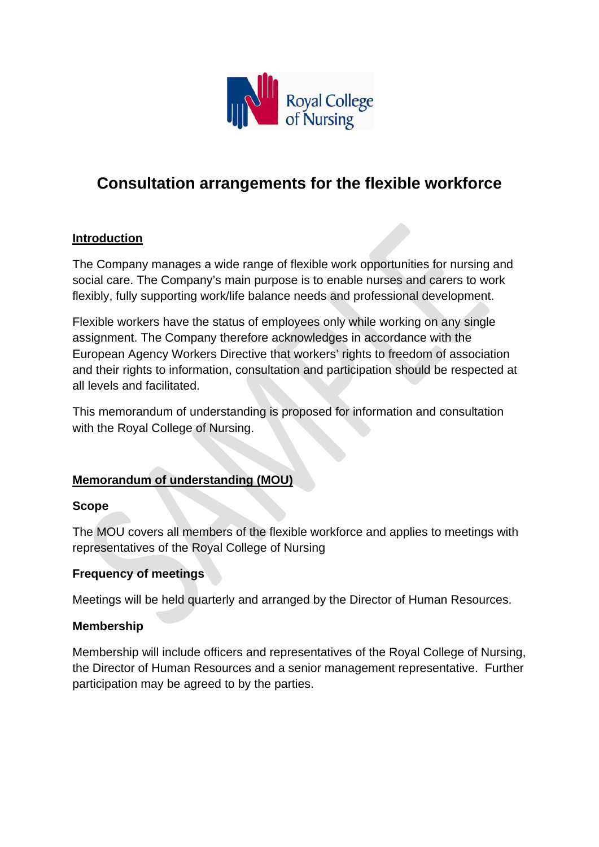

# **Consultation arrangements for the flexible workforce**

## **Introduction**

The Company manages a wide range of flexible work opportunities for nursing and social care. The Company's main purpose is to enable nurses and carers to work flexibly, fully supporting work/life balance needs and professional development.

Flexible workers have the status of employees only while working on any single assignment. The Company therefore acknowledges in accordance with the European Agency Workers Directive that workers' rights to freedom of association and their rights to information, consultation and participation should be respected at all levels and facilitated.

This memorandum of understanding is proposed for information and consultation with the Royal College of Nursing.

# **Memorandum of understanding (MOU)**

#### **Scope**

The MOU covers all members of the flexible workforce and applies to meetings with representatives of the Royal College of Nursing

#### **Frequency of meetings**

Meetings will be held quarterly and arranged by the Director of Human Resources.

#### **Membership**

Membership will include officers and representatives of the Royal College of Nursing, the Director of Human Resources and a senior management representative. Further participation may be agreed to by the parties.